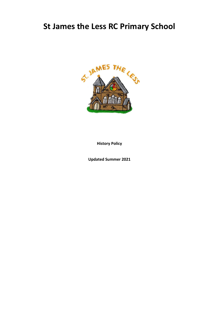# **St James the Less RC Primary School**



**History Policy**

**Updated Summer 2021**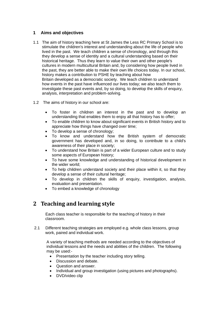#### **1 Aims and objectives**

- 1.1 The aim of history teaching here at St James the Less RC Primary School is to stimulate the children's interest and understanding about the life of people who lived in the past. We teach children a sense of chronology, and through this they develop a sense of identity and a cultural understanding based on their historical heritage. Thus they learn to value their own and other people's cultures in modern multicultural Britain and, by considering how people lived in the past, they are better able to make their own life choices today. In our school, history makes a contribution to PSHE by teaching about how Britain developed as a democratic society. We teach children to understand how events in the past have influenced our lives today; we also teach them to investigate these past events and, by so doing, to develop the skills of enquiry, analysis, interpretation and problem-solving.
- 1.2 The aims of history in our school are:
	- To foster in children an interest in the past and to develop an understanding that enables them to enjoy all that history has to offer;
	- To enable children to know about significant events in British history and to appreciate how things have changed over time;
	- To develop a sense of chronology;
	- To know and understand how the British system of democratic government has developed and, in so doing, to contribute to a child's awareness of their place in society;
	- To understand how Britain is part of a wider European culture and to study some aspects of European history;
	- To have some knowledge and understanding of historical development in the wider world;
	- To help children understand society and their place within it, so that they develop a sense of their cultural heritage;
	- To develop in children the skills of enquiry, investigation, analysis, evaluation and presentation.
	- To embed a knowledge of chronology

# **2 Teaching and learning style**

 Each class teacher is responsible for the teaching of history in their classroom.

2.1 Different teaching strategies are employed e.g. whole class lessons, group work, paired and individual work.

 A variety of teaching methods are needed according to the objectives of individual lessons and the needs and abilities of the children. The following may be used:-

- Presentation by the teacher including story telling.
- Discussion and debate.
- Question and answer.
- Individual and group investigation (using pictures and photographs).
- DVD/video clip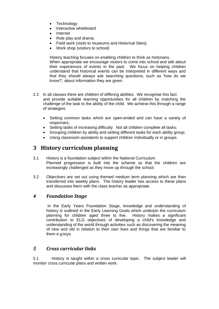- Technology.
- Interactive whiteboard
- Internet
- Role play and drama.
- Field work (visits to museums and Historical Sites).
- Work shop (visitors to school)

History teaching focuses on enabling children to think as historians. When appropriate we encourage visitors to come into school and talk about their experiences of events in the past. We focus on helping children understand that historical events can be interpreted in different ways and that they should always ask searching questions, such as 'how do we know?', about information they are given.

- 2.2 In all classes there are children of differing abilities. We recognise this fact and provide suitable learning opportunities for all children by matching the challenge of the task to the ability of the child. We achieve this through a range of strategies:
	- Setting common tasks which are open-ended and can have a variety of responses;
	- Setting tasks of increasing difficulty. Not all children complete all tasks;
	- Grouping children by ability and setting different tasks for each ability group;
	- Using classroom assistants to support children individually or in groups.

# **3 History curriculum planning**

- 3.1 History is a foundation subject within the National Curriculum. Planned progression is built into the scheme so that the children are increasingly challenged as they move up through the school.
- 3.2 Objectives are set out using themed medium term planning which are then transferred into weekly plans. The history leader has access to these plans and discusses them with the class teacher as appropriate.

### *4 Foundation Stage*

In the Early Years Foundation Stage, knowledge and understanding of history is outlined in the Early Learning Goals which underpin the curriculum planning for children aged three to five. History makes a significant contribution to ELG objectives of developing a child's knowledge and understanding of the world through activities such as discovering the meaning of new and old in relation to their own lives and things that are familiar to them e.g.toys.

## *5 Cross curricular links*

5.1 History is taught within a cross curricular topic. The subject leader will monitor cross curricular plans and written work.